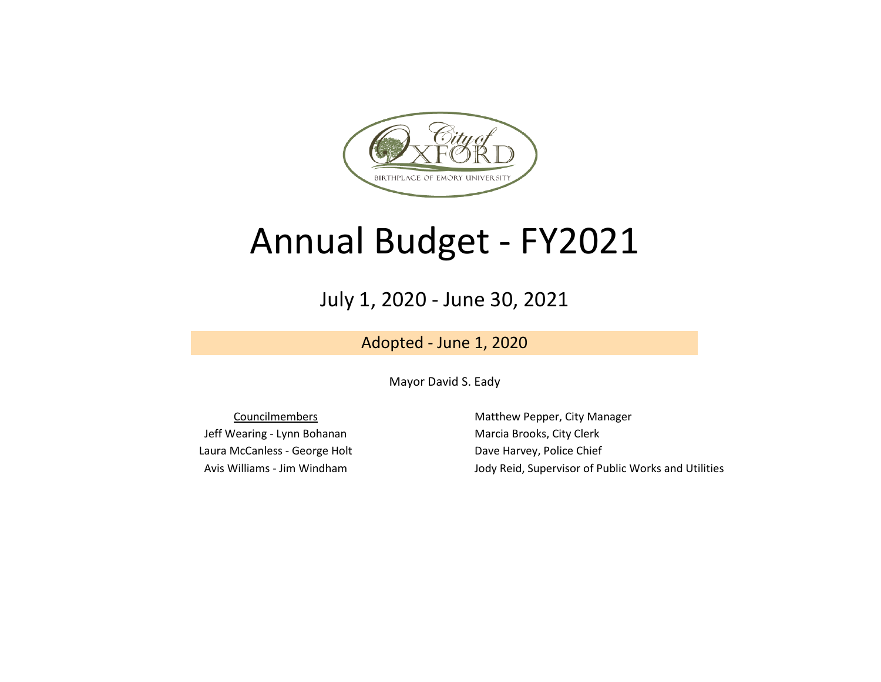

## Annual Budget - FY2021

July 1, 2020 - June 30, 2021

Adopted - June 1, 2020

Mayor David S. Eady

Jeff Wearing - Lynn Bohanan Marcia Brooks, City Clerk Laura McCanless - George Holt **Dave Harvey, Police Chief** 

Councilmembers **Matthew Pepper, City Manager** Avis Williams - Jim Windham Jody Reid, Supervisor of Public Works and Utilities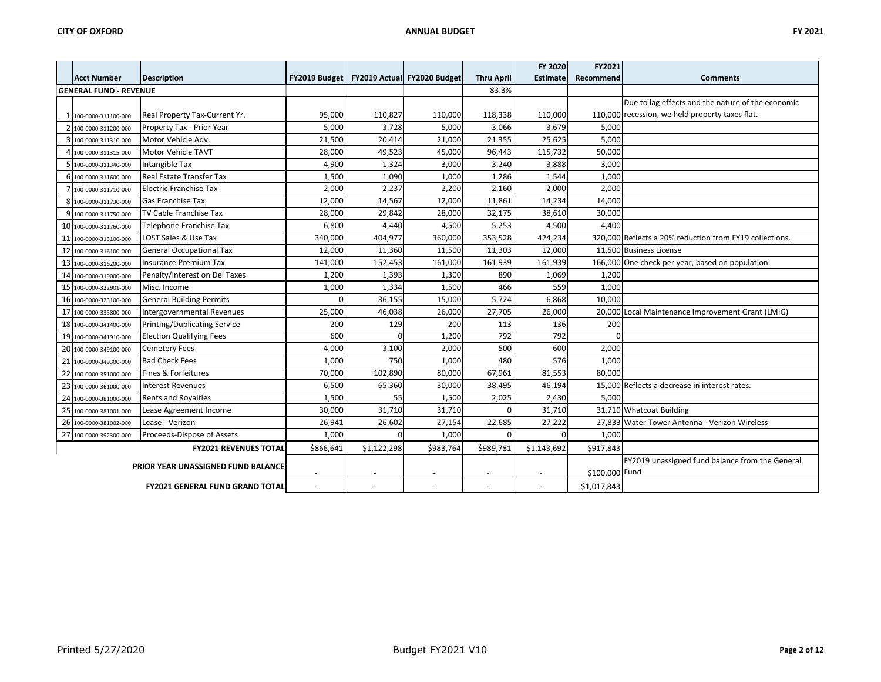|  |                               |                                        |           |             |                                           |                          | FY 2020         | FY2021      |                                                         |
|--|-------------------------------|----------------------------------------|-----------|-------------|-------------------------------------------|--------------------------|-----------------|-------------|---------------------------------------------------------|
|  | <b>Acct Number</b>            | <b>Description</b>                     |           |             | FY2019 Budget FY2019 Actual FY2020 Budget | <b>Thru April</b>        | <b>Estimate</b> | Recommend   | <b>Comments</b>                                         |
|  | <b>GENERAL FUND - REVENUE</b> |                                        |           |             |                                           | 83.3%                    |                 |             |                                                         |
|  |                               |                                        |           |             |                                           |                          |                 |             | Due to lag effects and the nature of the economic       |
|  | 1 100-0000-311100-000         | Real Property Tax-Current Yr.          | 95,000    | 110,827     | 110,000                                   | 118,338                  | 110,000         |             | 110,000 recession, we held property taxes flat.         |
|  | 2 100-0000-311200-000         | Property Tax - Prior Year              | 5,000     | 3,728       | 5,000                                     | 3,066                    | 3,679           | 5,000       |                                                         |
|  | 3 100-0000-311310-000         | Motor Vehicle Adv.                     | 21,500    | 20,414      | 21,000                                    | 21,355                   | 25,625          | 5,000       |                                                         |
|  | 100-0000-311315-000           | Motor Vehicle TAVT                     | 28,000    | 49,523      | 45,000                                    | 96,443                   | 115,732         | 50,000      |                                                         |
|  | 100-0000-311340-000           | Intangible Tax                         | 4,900     | 1,324       | 3,000                                     | 3,240                    | 3,888           | 3,000       |                                                         |
|  | 6 100-0000-311600-000         | <b>Real Estate Transfer Tax</b>        | 1,500     | 1,090       | 1,000                                     | 1,286                    | 1,544           | 1,000       |                                                         |
|  | 100-0000-311710-000           | <b>Electric Franchise Tax</b>          | 2,000     | 2,237       | 2,200                                     | 2,160                    | 2,000           | 2,000       |                                                         |
|  | 8 100-0000-311730-000         | <b>Gas Franchise Tax</b>               | 12,000    | 14,567      | 12,000                                    | 11,861                   | 14,234          | 14,000      |                                                         |
|  | 9 100-0000-311750-000         | TV Cable Franchise Tax                 | 28,000    | 29,842      | 28,000                                    | 32,175                   | 38,610          | 30,000      |                                                         |
|  | 10 100-0000-311760-000        | Telephone Franchise Tax                | 6,800     | 4,440       | 4,500                                     | 5,253                    | 4,500           | 4,400       |                                                         |
|  | 11 100-0000-313100-000        | LOST Sales & Use Tax                   | 340,000   | 404,977     | 360,000                                   | 353,528                  | 424,234         |             | 320,000 Reflects a 20% reduction from FY19 collections. |
|  | 12 100-0000-316100-000        | <b>General Occupational Tax</b>        | 12,000    | 11,360      | 11,500                                    | 11,303                   | 12,000          |             | 11,500 Business License                                 |
|  | 13 100-0000-316200-000        | <b>Insurance Premium Tax</b>           | 141,000   | 152,453     | 161,000                                   | 161,939                  | 161,939         |             | 166,000 One check per year, based on population.        |
|  | 14 100-0000-319000-000        | Penalty/Interest on Del Taxes          | 1,200     | 1,393       | 1,300                                     | 890                      | 1,069           | 1,200       |                                                         |
|  | 15 100-0000-322901-000        | Misc. Income                           | 1,000     | 1,334       | 1,500                                     | 466                      | 559             | 1,000       |                                                         |
|  | 16 100-0000-323100-000        | <b>General Building Permits</b>        |           | 36,155      | 15,000                                    | 5,724                    | 6,868           | 10,000      |                                                         |
|  | 17 100-0000-335800-000        | Intergovernmental Revenues             | 25,000    | 46,038      | 26,000                                    | 27,705                   | 26,000          |             | 20,000 Local Maintenance Improvement Grant (LMIG)       |
|  | 18 100-0000-341400-000        | <b>Printing/Duplicating Service</b>    | 200       | 129         | 200                                       | 113                      | 136             | 200         |                                                         |
|  | 19 100-0000-341910-000        | <b>Election Qualifying Fees</b>        | 600       | $\Omega$    | 1,200                                     | 792                      | 792             | $\Omega$    |                                                         |
|  | 20 100-0000-349100-000        | <b>Cemetery Fees</b>                   | 4,000     | 3,100       | 2,000                                     | 500                      | 600             | 2,000       |                                                         |
|  | 21 100-0000-349300-000        | <b>Bad Check Fees</b>                  | 1,000     | 750         | 1,000                                     | 480                      | 576             | 1,000       |                                                         |
|  | 22 100-0000-351000-000        | Fines & Forfeitures                    | 70,000    | 102,890     | 80,000                                    | 67,961                   | 81,553          | 80,000      |                                                         |
|  | 23 100-0000-361000-000        | <b>Interest Revenues</b>               | 6,500     | 65,360      | 30,000                                    | 38,495                   | 46,194          |             | 15,000 Reflects a decrease in interest rates.           |
|  | 24 100-0000-381000-000        | <b>Rents and Royalties</b>             | 1,500     | 55          | 1,500                                     | 2,025                    | 2,430           | 5,000       |                                                         |
|  | 25 100-0000-381001-000        | Lease Agreement Income                 | 30,000    | 31,710      | 31,710                                    | $\Omega$                 | 31,710          |             | 31,710 Whatcoat Building                                |
|  | 26 100-0000-381002-000        | Lease - Verizon                        | 26,941    | 26,602      | 27,154                                    | 22,685                   | 27,222          |             | 27,833 Water Tower Antenna - Verizon Wireless           |
|  | 27 100-0000-392300-000        | Proceeds-Dispose of Assets             | 1,000     | $\Omega$    | 1,000                                     | $\overline{0}$           | $\Omega$        | 1,000       |                                                         |
|  |                               | <b>FY2021 REVENUES TOTAL</b>           | \$866,641 | \$1,122,298 | \$983,764                                 | \$989,781                | \$1,143,692     | \$917,843   |                                                         |
|  |                               | PRIOR YEAR UNASSIGNED FUND BALANCE     |           |             |                                           |                          |                 |             | FY2019 unassigned fund balance from the General         |
|  |                               |                                        |           |             |                                           | $\overline{\phantom{a}}$ | \$100,000 Fund  |             |                                                         |
|  |                               | <b>FY2021 GENERAL FUND GRAND TOTAL</b> |           |             |                                           |                          | $\sim$          | \$1,017,843 |                                                         |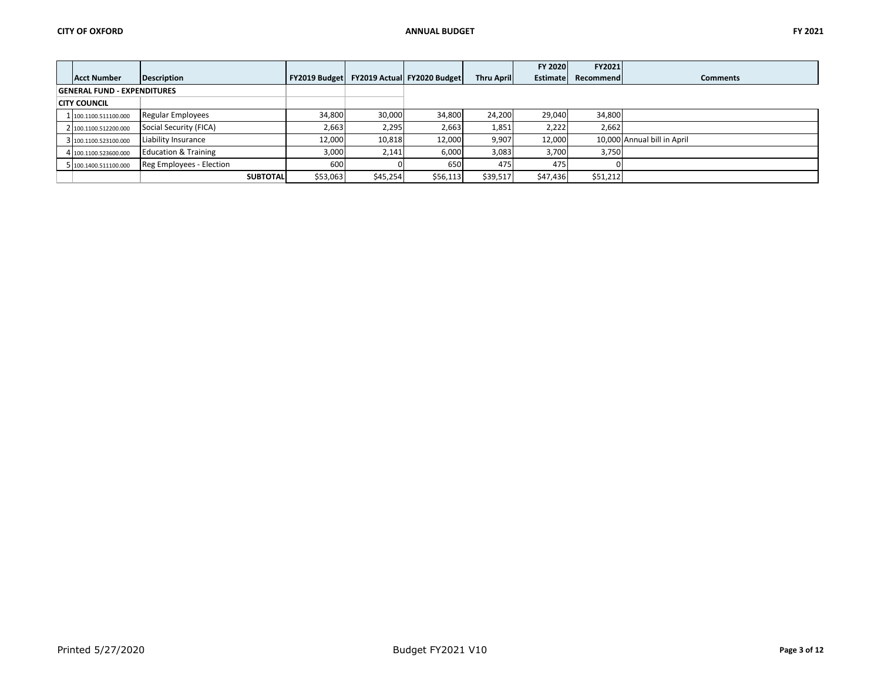|                                    |                                 |                      |          |                             |                   | FY 2020         | FY2021    |                             |
|------------------------------------|---------------------------------|----------------------|----------|-----------------------------|-------------------|-----------------|-----------|-----------------------------|
| Acct Number                        | <b>Description</b>              | <b>FY2019 Budget</b> |          | FY2019 Actual FY2020 Budget | <b>Thru April</b> | <b>Estimate</b> | Recommend | <b>Comments</b>             |
| <b>GENERAL FUND - EXPENDITURES</b> |                                 |                      |          |                             |                   |                 |           |                             |
| <b>CITY COUNCIL</b>                |                                 |                      |          |                             |                   |                 |           |                             |
| 1 100.1100.511100.000              | Regular Employees               | 34,800               | 30,000   | 34,800                      | 24,200            | 29,040          | 34,800    |                             |
| 2 100.1100.512200.000              | Social Security (FICA)          | 2,663                | 2,295    | 2,663                       | 1,851             | 2,222           | 2,662     |                             |
| 3 100.1100.523100.000              | Liability Insurance             | 12,000               | 10,818   | 12,000                      | 9,907             | 12,000          |           | 10,000 Annual bill in April |
| 4 100.1100.523600.000              | <b>Education &amp; Training</b> | 3,000                | 2,141    | 6,000                       | 3,083             | 3,700           | 3,750     |                             |
| 5 100.1400.511100.000              | Reg Employees - Election        | 600                  |          | 650                         | 475               | 475             |           |                             |
|                                    | <b>SUBTOTAL</b>                 | \$53,063             | \$45,254 | \$56,113                    | \$39,517          | \$47,436        | \$51,212  |                             |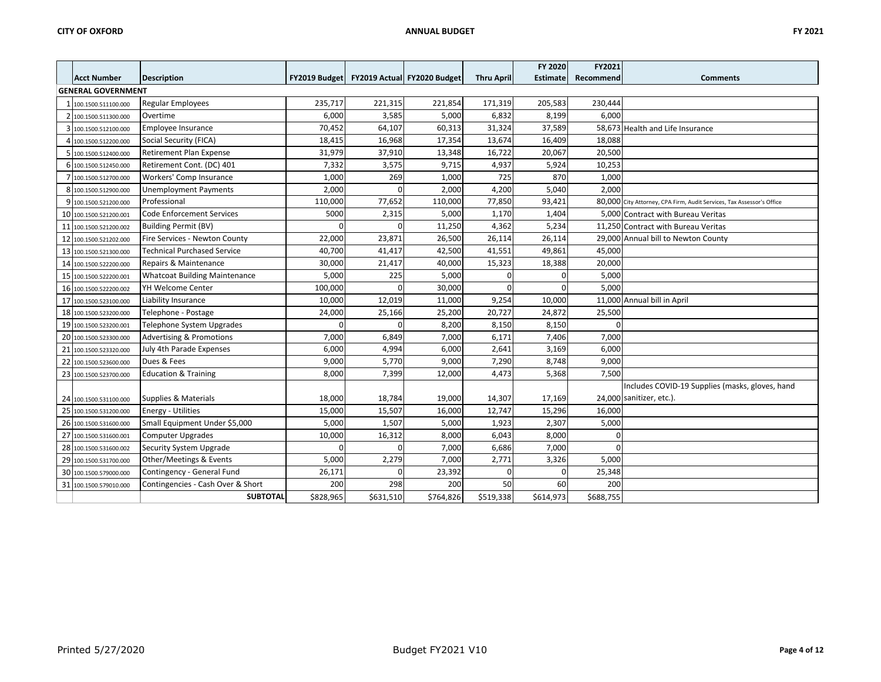|   |                           |                                      |           |            |                                           |                   | FY 2020         | FY2021    |                                                                       |
|---|---------------------------|--------------------------------------|-----------|------------|-------------------------------------------|-------------------|-----------------|-----------|-----------------------------------------------------------------------|
|   | <b>Acct Number</b>        | <b>Description</b>                   |           |            | FY2019 Budget FY2019 Actual FY2020 Budget | <b>Thru April</b> | <b>Estimate</b> | Recommend | <b>Comments</b>                                                       |
|   | <b>GENERAL GOVERNMENT</b> |                                      |           |            |                                           |                   |                 |           |                                                                       |
|   | 1 100.1500.511100.000     | <b>Regular Employees</b>             | 235,717   | 221,315    | 221,854                                   | 171,319           | 205,583         | 230,444   |                                                                       |
|   | 2 100.1500.511300.000     | Overtime                             | 6,000     | 3,585      | 5,000                                     | 6,832             | 8,199           | 6,000     |                                                                       |
|   | 3 100.1500.512100.000     | Employee Insurance                   | 70,452    | 64,107     | 60,313                                    | 31,324            | 37,589          |           | 58,673 Health and Life Insurance                                      |
|   | 4 100.1500.512200.000     | Social Security (FICA)               | 18,415    | 16,968     | 17,354                                    | 13,674            | 16,409          | 18,088    |                                                                       |
|   | 5 100.1500.512400.000     | <b>Retirement Plan Expense</b>       | 31,979    | 37,910     | 13,348                                    | 16,722            | 20,067          | 20,500    |                                                                       |
|   | 6 100.1500.512450.000     | Retirement Cont. (DC) 401            | 7,332     | 3,575      | 9,715                                     | 4,937             | 5,924           | 10,253    |                                                                       |
|   | 7 100.1500.512700.000     | Workers' Comp Insurance              | 1,000     | 269        | 1,000                                     | 725               | 870             | 1,000     |                                                                       |
|   | 8 100.1500.512900.000     | <b>Unemployment Payments</b>         | 2,000     |            | 2,000                                     | 4,200             | 5,040           | 2,000     |                                                                       |
| 9 | 100.1500.521200.000       | Professional                         | 110,000   | 77,652     | 110,000                                   | 77,850            | 93,421          |           | 80,000 City Attorney, CPA Firm, Audit Services, Tax Assessor's Office |
|   | 10 100.1500.521200.001    | <b>Code Enforcement Services</b>     | 5000      | 2,315      | 5,000                                     | 1,170             | 1,404           |           | 5,000 Contract with Bureau Veritas                                    |
|   | 11 100.1500.521200.002    | <b>Building Permit (BV)</b>          |           |            | 11,250                                    | 4,362             | 5,234           |           | 11,250 Contract with Bureau Veritas                                   |
|   | 12 100.1500.521202.000    | Fire Services - Newton County        | 22,000    | 23,871     | 26,500                                    | 26,114            | 26,114          |           | 29,000 Annual bill to Newton County                                   |
|   | 13 100.1500.521300.000    | <b>Technical Purchased Service</b>   | 40,700    | 41,417     | 42,500                                    | 41,551            | 49,861          | 45,000    |                                                                       |
|   | 14 100.1500.522200.000    | Repairs & Maintenance                | 30,000    | 21,417     | 40,000                                    | 15,323            | 18,388          | 20,000    |                                                                       |
|   | 15 100.1500.522200.001    | <b>Whatcoat Building Maintenance</b> | 5,000     | 225        | 5,000                                     | O                 |                 | 5,000     |                                                                       |
|   | 16 100.1500.522200.002    | YH Welcome Center                    | 100,000   | $\sqrt{ }$ | 30,000                                    | O                 |                 | 5,000     |                                                                       |
|   | 17 100.1500.523100.000    | Liability Insurance                  | 10,000    | 12,019     | 11,000                                    | 9,254             | 10,000          |           | 11,000 Annual bill in April                                           |
|   | 18 100.1500.523200.000    | Telephone - Postage                  | 24,000    | 25,166     | 25,200                                    | 20,727            | 24,872          | 25,500    |                                                                       |
|   | 19 100.1500.523200.001    | Telephone System Upgrades            |           |            | 8,200                                     | 8,150             | 8,150           |           |                                                                       |
|   | 20 100.1500.523300.000    | <b>Advertising &amp; Promotions</b>  | 7,000     | 6,849      | 7,000                                     | 6,171             | 7,406           | 7,000     |                                                                       |
|   | 21 100.1500.523320.000    | July 4th Parade Expenses             | 6,000     | 4,994      | 6,000                                     | 2,641             | 3,169           | 6,000     |                                                                       |
|   | 22 100.1500.523600.000    | Dues & Fees                          | 9,000     | 5,770      | 9,000                                     | 7,290             | 8,748           | 9,000     |                                                                       |
|   | 23 100.1500.523700.000    | <b>Education &amp; Training</b>      | 8,000     | 7,399      | 12,000                                    | 4,473             | 5,368           | 7,500     |                                                                       |
|   |                           |                                      |           |            |                                           |                   |                 |           | Includes COVID-19 Supplies (masks, gloves, hand                       |
|   | 24 100.1500.531100.000    | Supplies & Materials                 | 18,000    | 18,784     | 19,000                                    | 14,307            | 17,169          |           | 24,000 sanitizer, etc.).                                              |
|   | 25 100.1500.531200.000    | <b>Energy - Utilities</b>            | 15,000    | 15,507     | 16,000                                    | 12,747            | 15,296          | 16,000    |                                                                       |
|   | 26 100.1500.531600.000    | Small Equipment Under \$5,000        | 5,000     | 1,507      | 5,000                                     | 1,923             | 2,307           | 5,000     |                                                                       |
|   | 27 100.1500.531600.001    | <b>Computer Upgrades</b>             | 10,000    | 16,312     | 8,000                                     | 6,043             | 8,000           | O         |                                                                       |
|   | 28 100.1500.531600.002    | Security System Upgrade              |           |            | 7,000                                     | 6,686             | 7,000           | $\Omega$  |                                                                       |
|   | 29 100.1500.531700.000    | Other/Meetings & Events              | 5,000     | 2,279      | 7,000                                     | 2,771             | 3,326           | 5,000     |                                                                       |
|   | 30 100.1500.579000.000    | Contingency - General Fund           | 26,171    |            | 23,392                                    | n                 |                 | 25,348    |                                                                       |
|   | 31 100.1500.579010.000    | Contingencies - Cash Over & Short    | 200       | 298        | 200                                       | 50                | 60              | 200       |                                                                       |
|   |                           | <b>SUBTOTAL</b>                      | \$828,965 | \$631,510  | \$764,826                                 | \$519,338         | \$614,973       | \$688,755 |                                                                       |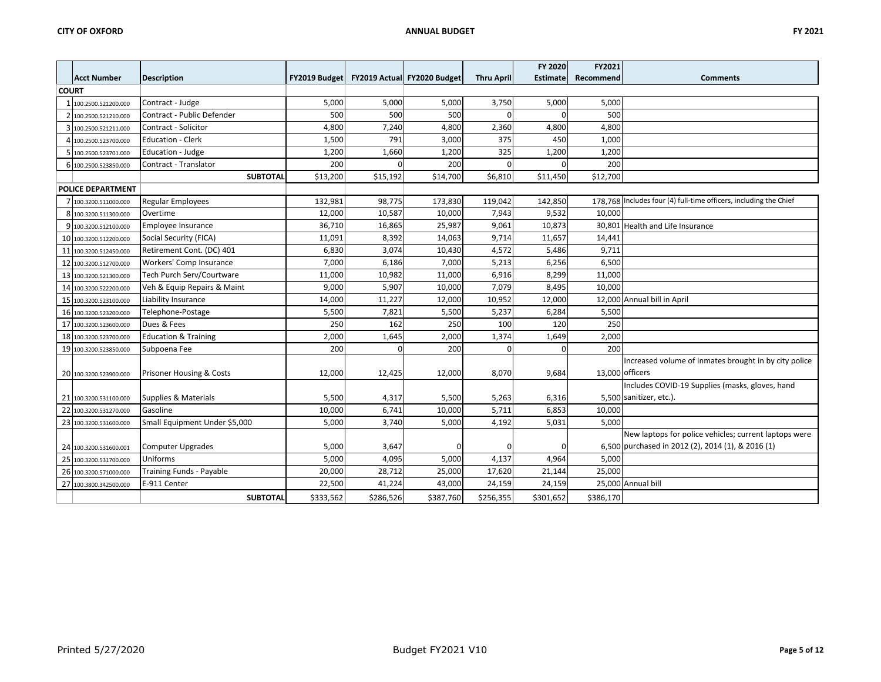|       |                          |                                     |           |           |                                           |                   | <b>FY 2020</b>  | FY2021          |                                                                   |
|-------|--------------------------|-------------------------------------|-----------|-----------|-------------------------------------------|-------------------|-----------------|-----------------|-------------------------------------------------------------------|
|       | <b>Acct Number</b>       | <b>Description</b>                  |           |           | FY2019 Budget FY2019 Actual FY2020 Budget | <b>Thru April</b> | <b>Estimate</b> | Recommend       | <b>Comments</b>                                                   |
| COURT |                          |                                     |           |           |                                           |                   |                 |                 |                                                                   |
|       | 1 100.2500.521200.000    | Contract - Judge                    | 5,000     | 5,000     | 5,000                                     | 3,750             | 5,000           | 5,000           |                                                                   |
|       | 2 100.2500.521210.000    | Contract - Public Defender          | 500       | 500       | 500                                       | $\Omega$          |                 | 500             |                                                                   |
|       | 3 100.2500.521211.000    | Contract - Solicitor                | 4,800     | 7,240     | 4,800                                     | 2,360             | 4,800           | 4,800           |                                                                   |
|       | 4 100.2500.523700.000    | <b>Education - Clerk</b>            | 1,500     | 791       | 3,000                                     | 375               | 450             | 1,000           |                                                                   |
|       | 5 100.2500.523701.000    | Education - Judge                   | 1,200     | 1,660     | 1,200                                     | 325               | 1,200           | 1,200           |                                                                   |
|       | 6 100.2500.523850.000    | Contract - Translator               | 200       |           | 200                                       | $\Omega$          |                 | 200             |                                                                   |
|       |                          | <b>SUBTOTAL</b>                     | \$13,200  | \$15,192  | \$14,700                                  | \$6,810           | \$11,450        | \$12,700        |                                                                   |
|       | <b>POLICE DEPARTMENT</b> |                                     |           |           |                                           |                   |                 |                 |                                                                   |
|       | 7 100.3200.511000.000    | <b>Regular Employees</b>            | 132,981   | 98,775    | 173,830                                   | 119,042           | 142,850         |                 | 178,768 Includes four (4) full-time officers, including the Chief |
|       | 8 100.3200.511300.000    | Overtime                            | 12,000    | 10,587    | 10,000                                    | 7,943             | 9,532           | 10,000          |                                                                   |
|       | 9 100.3200.512100.000    | Employee Insurance                  | 36,710    | 16,865    | 25,987                                    | 9,061             | 10,873          |                 | 30,801 Health and Life Insurance                                  |
|       | 10 100.3200.512200.000   | Social Security (FICA)              | 11,091    | 8,392     | 14,063                                    | 9,714             | 11,657          | 14,441          |                                                                   |
| 11    | 100.3200.512450.000      | Retirement Cont. (DC) 401           | 6,830     | 3,074     | 10,430                                    | 4,572             | 5,486           | 9,711           |                                                                   |
| 12    | 100.3200.512700.000      | Workers' Comp Insurance             | 7,000     | 6,186     | 7,000                                     | 5,213             | 6,256           | 6,500           |                                                                   |
|       | 13 100.3200.521300.000   | Tech Purch Serv/Courtware           | 11,000    | 10,982    | 11,000                                    | 6,916             | 8,299           | 11,000          |                                                                   |
|       | 14 100.3200.522200.000   | Veh & Equip Repairs & Maint         | 9,000     | 5,907     | 10,000                                    | 7,079             | 8,495           | 10.000          |                                                                   |
|       | 15 100.3200.523100.000   | Liability Insurance                 | 14,000    | 11,227    | 12,000                                    | 10,952            | 12,000          |                 | 12,000 Annual bill in April                                       |
|       | 16 100.3200.523200.000   | Telephone-Postage                   | 5,500     | 7,821     | 5,500                                     | 5,237             | 6,284           | 5,500           |                                                                   |
|       | 17 100.3200.523600.000   | Dues & Fees                         | 250       | 162       | 250                                       | 100               | 120             | 250             |                                                                   |
|       | 18 100.3200.523700.000   | <b>Education &amp; Training</b>     | 2,000     | 1,645     | 2,000                                     | 1,374             | 1,649           | 2,000           |                                                                   |
|       | 19 100.3200.523850.000   | Subpoena Fee                        | 200       | $\Omega$  | 200                                       | $\Omega$          | $\Omega$        | 200             |                                                                   |
|       |                          |                                     |           |           |                                           |                   |                 |                 | Increased volume of inmates brought in by city police             |
|       | 20 100.3200.523900.000   | <b>Prisoner Housing &amp; Costs</b> | 12,000    | 12,425    | 12,000                                    | 8,070             | 9,684           | 13,000 officers |                                                                   |
|       |                          |                                     |           |           |                                           |                   |                 |                 | Includes COVID-19 Supplies (masks, gloves, hand                   |
|       | 21 100.3200.531100.000   | Supplies & Materials                | 5,500     | 4,317     | 5,500                                     | 5,263             | 6,316           |                 | 5,500 sanitizer, etc.).                                           |
|       | 22 100.3200.531270.000   | Gasoline                            | 10,000    | 6,741     | 10,000                                    | 5,711             | 6,853           | 10,000          |                                                                   |
|       | 23 100.3200.531600.000   | Small Equipment Under \$5,000       | 5,000     | 3,740     | 5,000                                     | 4,192             | 5,031           | 5.000           |                                                                   |
|       |                          |                                     |           |           |                                           |                   |                 |                 | New laptops for police vehicles; current laptops were             |
|       | 24 100.3200.531600.001   | <b>Computer Upgrades</b>            | 5,000     | 3,647     |                                           | $\Omega$          |                 |                 | 6.500 purchased in 2012 (2), 2014 (1), & 2016 (1)                 |
| 25    | 100.3200.531700.000      | Uniforms                            | 5,000     | 4,095     | 5,000                                     | 4,137             | 4,964           | 5,000           |                                                                   |
|       | 26 100.3200.571000.000   | Training Funds - Payable            | 20,000    | 28,712    | 25,000                                    | 17,620            | 21,144          | 25.000          |                                                                   |
| 27    | 100.3800.342500.000      | E-911 Center                        | 22,500    | 41,224    | 43,000                                    | 24,159            | 24,159          |                 | 25,000 Annual bill                                                |
|       |                          | <b>SUBTOTAL</b>                     | \$333,562 | \$286,526 | \$387,760                                 | \$256,355         | \$301,652       | \$386,170       |                                                                   |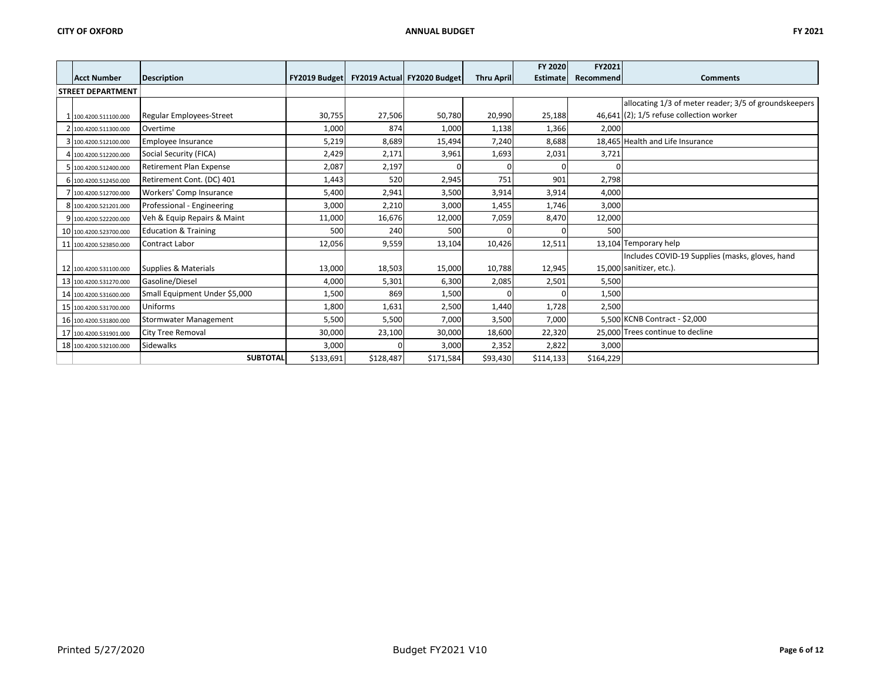|                          |                                 |                      |           |                             |                   | FY 2020         | FY2021    |                                                       |
|--------------------------|---------------------------------|----------------------|-----------|-----------------------------|-------------------|-----------------|-----------|-------------------------------------------------------|
| <b>Acct Number</b>       | Description                     | <b>FY2019 Budget</b> |           | FY2019 Actual FY2020 Budget | <b>Thru April</b> | <b>Estimate</b> | Recommend | <b>Comments</b>                                       |
| <b>STREET DEPARTMENT</b> |                                 |                      |           |                             |                   |                 |           |                                                       |
|                          |                                 |                      |           |                             |                   |                 |           | allocating 1/3 of meter reader; 3/5 of groundskeepers |
| 1 100.4200.511100.000    | <b>Regular Employees-Street</b> | 30,755               | 27,506    | 50,780                      | 20,990            | 25,188          |           | $46,641$ (2); $1/5$ refuse collection worker          |
| 2 100.4200.511300.000    | Overtime                        | 1,000                | 874       | 1,000                       | 1,138             | 1,366           | 2,000     |                                                       |
| 3 100.4200.512100.000    | <b>Employee Insurance</b>       | 5,219                | 8,689     | 15,494                      | 7,240             | 8,688           |           | 18,465 Health and Life Insurance                      |
| 4 100.4200.512200.000    | Social Security (FICA)          | 2,429                | 2,171     | 3,961                       | 1,693             | 2,031           | 3,721     |                                                       |
| 5 100.4200.512400.000    | <b>Retirement Plan Expense</b>  | 2,087                | 2,197     |                             |                   |                 |           |                                                       |
| 6 100.4200.512450.000    | Retirement Cont. (DC) 401       | 1,443                | 520       | 2,945                       | 751               | 901             | 2,798     |                                                       |
| 7 100.4200.512700.000    | Workers' Comp Insurance         | 5,400                | 2,941     | 3,500                       | 3,914             | 3,914           | 4,000     |                                                       |
| 8 100.4200.521201.000    | Professional - Engineering      | 3,000                | 2,210     | 3,000                       | 1,455             | 1,746           | 3,000     |                                                       |
| 9 100.4200.522200.000    | Veh & Equip Repairs & Maint     | 11,000               | 16,676    | 12,000                      | 7,059             | 8,470           | 12,000    |                                                       |
| 10 100.4200.523700.000   | <b>Education &amp; Training</b> | 500                  | 240       | 500                         |                   |                 | 500       |                                                       |
| 11 100.4200.523850.000   | Contract Labor                  | 12,056               | 9,559     | 13,104                      | 10,426            | 12,511          |           | 13,104 Temporary help                                 |
|                          |                                 |                      |           |                             |                   |                 |           | Includes COVID-19 Supplies (masks, gloves, hand       |
| 12 100.4200.531100.000   | Supplies & Materials            | 13,000               | 18,503    | 15,000                      | 10,788            | 12,945          |           | 15,000 sanitizer, etc.).                              |
| 13 100.4200.531270.000   | Gasoline/Diesel                 | 4,000                | 5,301     | 6,300                       | 2,085             | 2,501           | 5,500     |                                                       |
| 14 100.4200.531600.000   | Small Equipment Under \$5,000   | 1,500                | 869       | 1,500                       |                   |                 | 1,500     |                                                       |
| 15 100.4200.531700.000   | Uniforms                        | 1,800                | 1,631     | 2,500                       | 1,440             | 1,728           | 2,500     |                                                       |
| 16 100.4200.531800.000   | <b>Stormwater Management</b>    | 5,500                | 5,500     | 7,000                       | 3,500             | 7,000           |           | 5,500 KCNB Contract - \$2,000                         |
| 17 100.4200.531901.000   | <b>City Tree Removal</b>        | 30,000               | 23,100    | 30,000                      | 18,600            | 22,320          |           | 25,000 Trees continue to decline                      |
| 18 100.4200.532100.000   | <b>Sidewalks</b>                | 3,000                |           | 3,000                       | 2,352             | 2,822           | 3,000     |                                                       |
|                          | <b>SUBTOTAL</b>                 | \$133,691            | \$128,487 | \$171,584                   | \$93,430          | \$114,133       | \$164,229 |                                                       |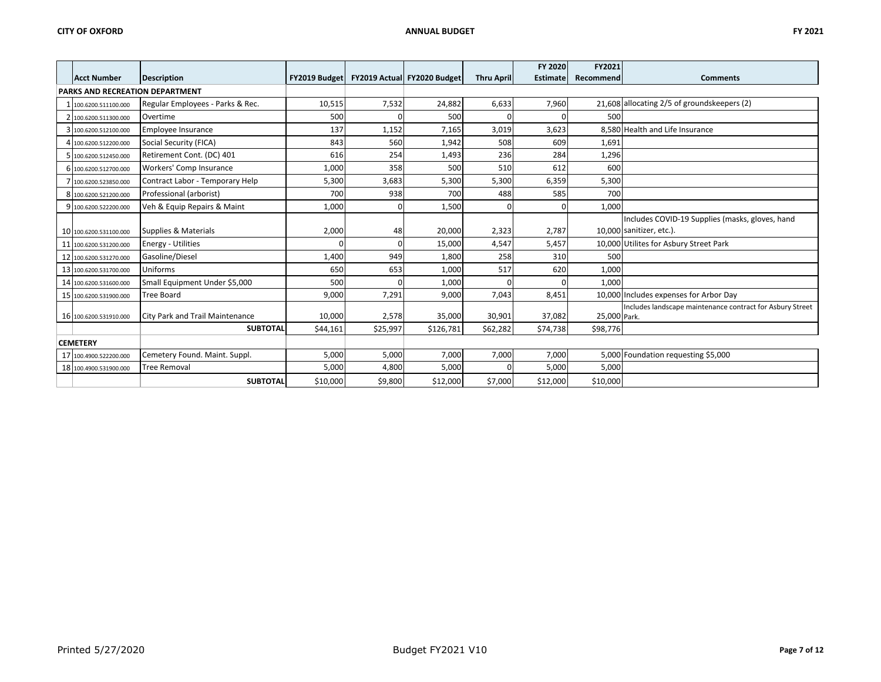|                                 |                                  |               |          |                             |                   | FY 2020         | FY2021       |                                                           |  |  |
|---------------------------------|----------------------------------|---------------|----------|-----------------------------|-------------------|-----------------|--------------|-----------------------------------------------------------|--|--|
| <b>Acct Number</b>              | <b>Description</b>               | FY2019 Budget |          | FY2019 Actual FY2020 Budget | <b>Thru April</b> | <b>Estimate</b> | Recommend    | <b>Comments</b>                                           |  |  |
| PARKS AND RECREATION DEPARTMENT |                                  |               |          |                             |                   |                 |              |                                                           |  |  |
| 1 100.6200.511100.000           | Regular Employees - Parks & Rec. | 10,515        | 7,532    | 24,882                      | 6,633             | 7,960           |              | 21,608 allocating 2/5 of groundskeepers (2)               |  |  |
| 2 100.6200.511300.000           | Overtime                         | 500           |          | 500                         |                   |                 | 500          |                                                           |  |  |
| 3 100.6200.512100.000           | Employee Insurance               | 137           | 1,152    | 7,165                       | 3,019             | 3,623           |              | 8,580 Health and Life Insurance                           |  |  |
| 4 100.6200.512200.000           | Social Security (FICA)           | 843           | 560      | 1,942                       | 508               | 609             | 1,691        |                                                           |  |  |
| 5 100.6200.512450.000           | Retirement Cont. (DC) 401        | 616           | 254      | 1,493                       | 236               | 284             | 1,296        |                                                           |  |  |
| 6 100.6200.512700.000           | Workers' Comp Insurance          | 1,000         | 358      | 500                         | 510               | 612             | 600          |                                                           |  |  |
| 7 100.6200.523850.000           | Contract Labor - Temporary Help  | 5,300         | 3,683    | 5,300                       | 5,300             | 6,359           | 5,300        |                                                           |  |  |
| 8 100.6200.521200.000           | Professional (arborist)          | 700           | 938      | 700                         | 488               | 585             | 700          |                                                           |  |  |
| 9 100.6200.522200.000           | Veh & Equip Repairs & Maint      | 1,000         |          | 1,500                       |                   |                 | 1,000        |                                                           |  |  |
|                                 |                                  |               |          |                             |                   |                 |              | Includes COVID-19 Supplies (masks, gloves, hand           |  |  |
| 10 100.6200.531100.000          | Supplies & Materials             | 2,000         | 48       | 20,000                      | 2,323             | 2,787           |              | 10,000 sanitizer, etc.).                                  |  |  |
| 11 100.6200.531200.000          | <b>Energy - Utilities</b>        |               | C        | 15,000                      | 4,547             | 5,457           |              | 10,000 Utilites for Asbury Street Park                    |  |  |
| 12 100.6200.531270.000          | Gasoline/Diesel                  | 1,400         | 949      | 1,800                       | 258               | 310             | 500          |                                                           |  |  |
| 13 100.6200.531700.000          | Uniforms                         | 650           | 653      | 1,000                       | 517               | 620             | 1,000        |                                                           |  |  |
| 14 100.6200.531600.000          | Small Equipment Under \$5,000    | 500           |          | 1,000                       |                   |                 | 1,000        |                                                           |  |  |
| 15 100.6200.531900.000          | <b>Tree Board</b>                | 9,000         | 7,291    | 9,000                       | 7,043             | 8,451           |              | 10.000 Includes expenses for Arbor Day                    |  |  |
| 16 100.6200.531910.000          | City Park and Trail Maintenance  | 10,000        | 2,578    | 35,000                      | 30,901            | 37,082          | 25,000 Park. | Includes landscape maintenance contract for Asbury Street |  |  |
|                                 | <b>SUBTOTAL</b>                  | \$44,161      | \$25,997 | \$126,781                   | \$62,282          | \$74,738        | \$98,776     |                                                           |  |  |
|                                 |                                  |               |          |                             |                   |                 |              |                                                           |  |  |
| <b>CEMETERY</b>                 |                                  |               |          |                             |                   |                 |              |                                                           |  |  |
| 17 100.4900.522200.000          | Cemetery Found. Maint. Suppl.    | 5,000         | 5,000    | 7,000                       | 7,000             | 7,000           |              | 5,000 Foundation requesting \$5,000                       |  |  |
| 18 100.4900.531900.000          | <b>Tree Removal</b>              | 5,000         | 4,800    | 5,000                       |                   | 5,000           | 5,000        |                                                           |  |  |
|                                 | <b>SUBTOTAL</b>                  | \$10,000      | \$9,800  | \$12,000                    | \$7,000           | \$12,000        | \$10,000     |                                                           |  |  |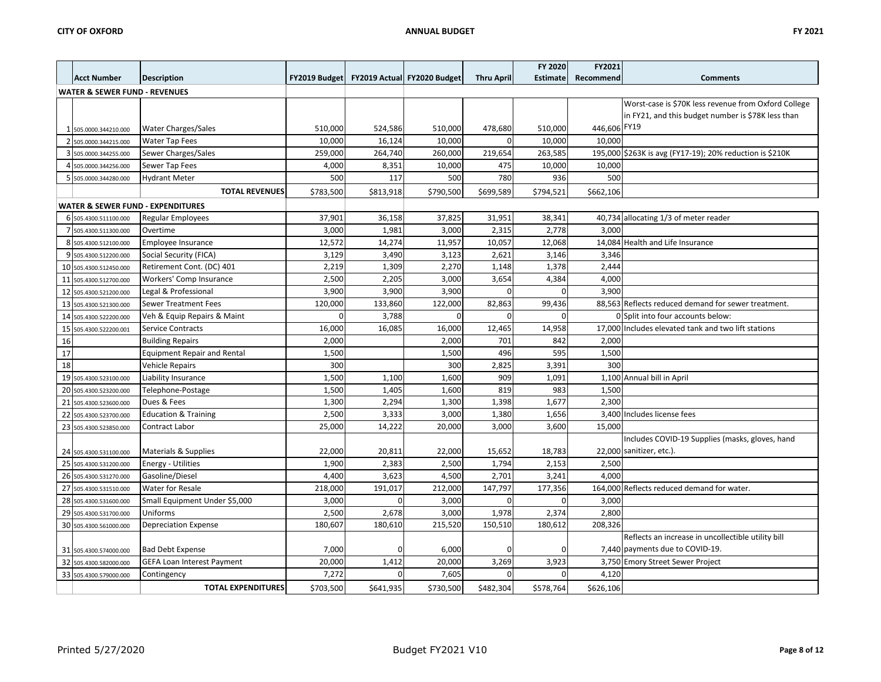|    |                                              |                                    |               |           |                             |                   | FY 2020         | FY2021       |                                                          |
|----|----------------------------------------------|------------------------------------|---------------|-----------|-----------------------------|-------------------|-----------------|--------------|----------------------------------------------------------|
|    | <b>Acct Number</b>                           | <b>Description</b>                 | FY2019 Budget |           | FY2019 Actual FY2020 Budget | <b>Thru April</b> | <b>Estimate</b> | Recommend    | <b>Comments</b>                                          |
|    | <b>WATER &amp; SEWER FUND - REVENUES</b>     |                                    |               |           |                             |                   |                 |              |                                                          |
|    |                                              |                                    |               |           |                             |                   |                 |              | Worst-case is \$70K less revenue from Oxford College     |
|    |                                              |                                    |               |           |                             |                   |                 |              | in FY21, and this budget number is \$78K less than       |
|    | 1 505.0000.344210.000                        | <b>Water Charges/Sales</b>         | 510,000       | 524,586   | 510,000                     | 478,680           | 510,000         | 446,606 FY19 |                                                          |
|    | 2 505.0000.344215.000                        | <b>Water Tap Fees</b>              | 10,000        | 16,124    | 10,000                      |                   | 10,000          | 10,000       |                                                          |
|    | 3 505.0000.344255.000                        | Sewer Charges/Sales                | 259,000       | 264,740   | 260,000                     | 219,654           | 263,585         |              | 195,000 \$263K is avg (FY17-19); 20% reduction is \$210K |
|    | 4 505.0000.344256.000                        | Sewer Tap Fees                     | 4,000         | 8,351     | 10,000                      | 475               | 10,000          | 10,000       |                                                          |
|    | 505.0000.344280.000                          | <b>Hydrant Meter</b>               | 500           | 117       | 500                         | 780               | 936             | 500          |                                                          |
|    |                                              | <b>TOTAL REVENUES</b>              | \$783,500     | \$813,918 | \$790,500                   | \$699,589         | \$794,521       | \$662,106    |                                                          |
|    | <b>WATER &amp; SEWER FUND - EXPENDITURES</b> |                                    |               |           |                             |                   |                 |              |                                                          |
|    | 6 505.4300.511100.000                        | <b>Regular Employees</b>           | 37,901        | 36,158    | 37,825                      | 31,951            | 38,341          |              | 40,734 allocating 1/3 of meter reader                    |
|    | 7 505.4300.511300.000                        | Overtime                           | 3,000         | 1,981     | 3,000                       | 2,315             | 2,778           | 3.000        |                                                          |
|    | 8 505.4300.512100.000                        | Employee Insurance                 | 12,572        | 14,274    | 11,957                      | 10,057            | 12,068          |              | 14,084 Health and Life Insurance                         |
|    | 9 505.4300.512200.000                        | Social Security (FICA)             | 3,129         | 3,490     | 3,123                       | 2,621             | 3,146           | 3,346        |                                                          |
|    | 10 505.4300.512450.000                       | Retirement Cont. (DC) 401          | 2,219         | 1,309     | 2,270                       | 1,148             | 1,378           | 2,444        |                                                          |
|    | 11 505.4300.512700.000                       | Workers' Comp Insurance            | 2,500         | 2,205     | 3,000                       | 3,654             | 4,384           | 4,000        |                                                          |
|    | 12 505.4300.521200.000                       | Legal & Professional               | 3,900         | 3,900     | 3,900                       | $\mathbf 0$       | $\Omega$        | 3,900        |                                                          |
|    | 13 505.4300.521300.000                       | Sewer Treatment Fees               | 120,000       | 133,860   | 122,000                     | 82,863            | 99,436          |              | 88,563 Reflects reduced demand for sewer treatment.      |
|    | 14 505.4300.522200.000                       | Veh & Equip Repairs & Maint        | $\Omega$      | 3,788     | $\mathbf{0}$                | $\Omega$          |                 |              | 0 Split into four accounts below:                        |
| 15 | 505.4300.522200.001                          | Service Contracts                  | 16,000        | 16,085    | 16,000                      | 12,465            | 14,958          |              | 17,000 Includes elevated tank and two lift stations      |
| 16 |                                              | <b>Building Repairs</b>            | 2,000         |           | 2,000                       | 701               | 842             | 2,000        |                                                          |
| 17 |                                              | <b>Equipment Repair and Rental</b> | 1,500         |           | 1,500                       | 496               | 595             | 1,500        |                                                          |
| 18 |                                              | Vehicle Repairs                    | 300           |           | 300                         | 2,825             | 3,391           | 300          |                                                          |
|    | 19 505.4300.523100.000                       | Liability Insurance                | 1,500         | 1,100     | 1,600                       | 909               | 1,091           |              | 1,100 Annual bill in April                               |
|    | 20 505.4300.523200.000                       | Telephone-Postage                  | 1,500         | 1,405     | 1,600                       | 819               | 983             | 1,500        |                                                          |
|    | 21 505.4300.523600.000                       | Dues & Fees                        | 1,300         | 2,294     | 1,300                       | 1,398             | 1,677           | 2,300        |                                                          |
|    | 22 505.4300.523700.000                       | <b>Education &amp; Training</b>    | 2,500         | 3,333     | 3,000                       | 1,380             | 1,656           |              | 3,400 Includes license fees                              |
|    | 23 505.4300.523850.000                       | Contract Labor                     | 25,000        | 14,222    | 20,000                      | 3,000             | 3,600           | 15,000       |                                                          |
|    |                                              |                                    |               |           |                             |                   |                 |              | Includes COVID-19 Supplies (masks, gloves, hand          |
|    | 24 505.4300.531100.000                       | Materials & Supplies               | 22,000        | 20,811    | 22,000                      | 15,652            | 18,783          |              | 22,000 sanitizer, etc.).                                 |
|    | 25 505.4300.531200.000                       | <b>Energy - Utilities</b>          | 1,900         | 2,383     | 2,500                       | 1,794             | 2,153           | 2,500        |                                                          |
|    | 26 505.4300.531270.000                       | Gasoline/Diesel                    | 4,400         | 3,623     | 4,500                       | 2,701             | 3,241           | 4.000        |                                                          |
|    | 27 505.4300.531510.000                       | Water for Resale                   | 218,000       | 191,017   | 212,000                     | 147,797           | 177,356         |              | 164,000 Reflects reduced demand for water.               |
|    | 28 505.4300.531600.000                       | Small Equipment Under \$5,000      | 3,000         | $\Omega$  | 3,000                       | $\Omega$          | $\Omega$        | 3,000        |                                                          |
|    | 29 505.4300.531700.000                       | Uniforms                           | 2,500         | 2,678     | 3,000                       | 1,978             | 2,374           | 2,800        |                                                          |
|    | 30 505.4300.561000.000                       | <b>Depreciation Expense</b>        | 180.607       | 180,610   | 215,520                     | 150,510           | 180,612         | 208,326      |                                                          |
|    |                                              |                                    |               |           |                             |                   |                 |              | Reflects an increase in uncollectible utility bill       |
|    | 31 505.4300.574000.000                       | <b>Bad Debt Expense</b>            | 7,000         | 0         | 6,000                       |                   |                 |              | 7,440 payments due to COVID-19.                          |
|    | 32 505.4300.582000.000                       | GEFA Loan Interest Payment         | 20,000        | 1,412     | 20,000                      | 3,269             | 3,923           |              | 3,750 Emory Street Sewer Project                         |
|    | 33 505.4300.579000.000                       | Contingency                        | 7,272         | $\Omega$  | 7,605                       | $\Omega$          | <sup>0</sup>    | 4,120        |                                                          |
|    |                                              | <b>TOTAL EXPENDITURES</b>          | \$703,500     | \$641,935 | \$730,500                   | \$482,304         | \$578,764       | \$626,106    |                                                          |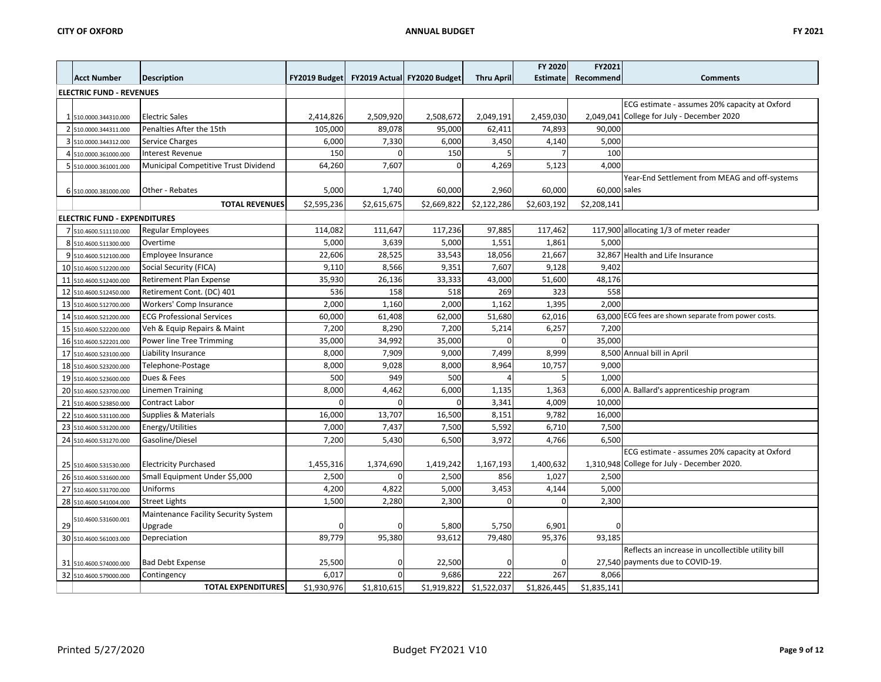|    |                                     |                                      |               |                             |             |                   | FY 2020         | FY2021       |                                                      |
|----|-------------------------------------|--------------------------------------|---------------|-----------------------------|-------------|-------------------|-----------------|--------------|------------------------------------------------------|
|    | <b>Acct Number</b>                  | <b>Description</b>                   | FY2019 Budget | FY2019 Actual FY2020 Budget |             | <b>Thru April</b> | <b>Estimate</b> | Recommend    | <b>Comments</b>                                      |
|    | <b>ELECTRIC FUND - REVENUES</b>     |                                      |               |                             |             |                   |                 |              |                                                      |
|    |                                     |                                      |               |                             |             |                   |                 |              | ECG estimate - assumes 20% capacity at Oxford        |
|    | 1 510.0000.344310.000               | <b>Electric Sales</b>                | 2,414,826     | 2,509,920                   | 2,508,672   | 2,049,191         | 2,459,030       |              | 2.049.041 College for July - December 2020           |
|    | 2 510.0000.344311.000               | Penalties After the 15th             | 105,000       | 89,078                      | 95,000      | 62,411            | 74,893          | 90.000       |                                                      |
|    | 3 510.0000.344312.000               | Service Charges                      | 6,000         | 7,330                       | 6,000       | 3,450             | 4,140           | 5,000        |                                                      |
|    | 4 510.0000.361000.000               | Interest Revenue                     | 150           | $\Omega$                    | 150         | 5                 |                 | 100          |                                                      |
|    | 5 510.0000.361001.000               | Municipal Competitive Trust Dividend | 64,260        | 7,607                       | $\Omega$    | 4,269             | 5,123           | 4,000        |                                                      |
|    | 6 510.0000.381000.000               | Other - Rebates                      | 5,000         | 1,740                       | 60,000      | 2,960             | 60,000          | 60,000 sales | Year-End Settlement from MEAG and off-systems        |
|    |                                     | <b>TOTAL REVENUES</b>                | \$2,595,236   | \$2,615,675                 | \$2,669,822 | \$2,122,286       | \$2,603,192     | \$2,208,141  |                                                      |
|    | <b>ELECTRIC FUND - EXPENDITURES</b> |                                      |               |                             |             |                   |                 |              |                                                      |
|    | 7 510.4600.511110.000               | <b>Regular Employees</b>             | 114,082       | 111,647                     | 117,236     | 97,885            | 117,462         |              | 117,900 allocating 1/3 of meter reader               |
|    | 8 510.4600.511300.000               | Overtime                             | 5,000         | 3,639                       | 5,000       | 1,551             | 1,861           | 5,000        |                                                      |
|    | 9 510.4600.512100.000               | Employee Insurance                   | 22,606        | 28,525                      | 33,543      | 18,056            | 21,667          |              | 32,867 Health and Life Insurance                     |
|    | 10 510.4600.512200.000              | Social Security (FICA)               | 9,110         | 8,566                       | 9,351       | 7,607             | 9,128           | 9,402        |                                                      |
|    | 11 510.4600.512400.000              | Retirement Plan Expense              | 35,930        | 26,136                      | 33,333      | 43,000            | 51,600          | 48,176       |                                                      |
|    | 12 510.4600.512450.000              | Retirement Cont. (DC) 401            | 536           | 158                         | 518         | 269               | 323             | 558          |                                                      |
|    | 13 510.4600.512700.000              | Workers' Comp Insurance              | 2,000         | 1,160                       | 2,000       | 1,162             | 1,395           | 2,000        |                                                      |
|    | 14 510.4600.521200.000              | <b>ECG Professional Services</b>     | 60,000        | 61,408                      | 62,000      | 51,680            | 62,016          |              | 63,000 ECG fees are shown separate from power costs. |
|    | 15 510.4600.522200.000              | Veh & Equip Repairs & Maint          | 7,200         | 8,290                       | 7,200       | 5,214             | 6,257           | 7,200        |                                                      |
|    | 16 510.4600.522201.000              | Power line Tree Trimming             | 35,000        | 34,992                      | 35,000      | $\mathbf 0$       | $\Omega$        | 35,000       |                                                      |
|    | 17 510.4600.523100.000              | Liability Insurance                  | 8,000         | 7,909                       | 9,000       | 7,499             | 8,999           |              | 8,500 Annual bill in April                           |
|    | 18 510.4600.523200.000              | Telephone-Postage                    | 8,000         | 9,028                       | 8,000       | 8,964             | 10,757          | 9,000        |                                                      |
|    | 19 510.4600.523600.000              | Dues & Fees                          | 500           | 949                         | 500         |                   | 5               | 1,000        |                                                      |
|    | 20 510.4600.523700.000              | Linemen Training                     | 8,000         | 4,462                       | 6,000       | 1,135             | 1,363           |              | 6,000 A. Ballard's apprenticeship program            |
|    | 21 510.4600.523850.000              | Contract Labor                       |               | O                           | $\Omega$    | 3,341             | 4,009           | 10,000       |                                                      |
|    | 22 510.4600.531100.000              | Supplies & Materials                 | 16,000        | 13,707                      | 16,500      | 8,151             | 9,782           | 16,000       |                                                      |
|    | 23 510.4600.531200.000              | Energy/Utilities                     | 7,000         | 7,437                       | 7,500       | 5,592             | 6,710           | 7,500        |                                                      |
|    | 24 510.4600.531270.000              | Gasoline/Diesel                      | 7,200         | 5,430                       | 6,500       | 3,972             | 4,766           | 6,500        |                                                      |
|    |                                     |                                      |               |                             |             |                   |                 |              | ECG estimate - assumes 20% capacity at Oxford        |
|    | 25 510.4600.531530.000              | <b>Electricity Purchased</b>         | 1,455,316     | 1,374,690                   | 1,419,242   | 1,167,193         | 1,400,632       |              | 1,310,948 College for July - December 2020.          |
|    | 26 510.4600.531600.000              | Small Equipment Under \$5,000        | 2,500         | 0                           | 2,500       | 856               | 1,027           | 2,500        |                                                      |
|    | 27 510.4600.531700.000              | Uniforms                             | 4,200         | 4,822                       | 5,000       | 3,453             | 4,144           | 5,000        |                                                      |
|    | 28 510.4600.541004.000              | Street Lights                        | 1,500         | 2,280                       | 2,300       | $\mathbf 0$       | $\Omega$        | 2,300        |                                                      |
|    | 510.4600.531600.001                 | Maintenance Facility Security System |               |                             |             |                   |                 |              |                                                      |
| 29 |                                     | Upgrade                              |               | O                           | 5,800       | 5,750             | 6,901           |              |                                                      |
|    | 30 510.4600.561003.000              | Depreciation                         | 89,779        | 95,380                      | 93,612      | 79,480            | 95,376          | 93,185       |                                                      |
|    |                                     |                                      |               |                             |             |                   |                 |              | Reflects an increase in uncollectible utility bill   |
|    | 31 510.4600.574000.000              | <b>Bad Debt Expense</b>              | 25,500        | 0                           | 22,500      |                   |                 |              | 27,540 payments due to COVID-19.                     |
|    | 32 510.4600.579000.000              | Contingency                          | 6,017         |                             | 9,686       | 222               | 267             | 8,066        |                                                      |
|    |                                     | <b>TOTAL EXPENDITURES</b>            | \$1,930,976   | \$1,810,615                 | \$1,919,822 | \$1,522,037       | \$1,826,445     | \$1,835,141  |                                                      |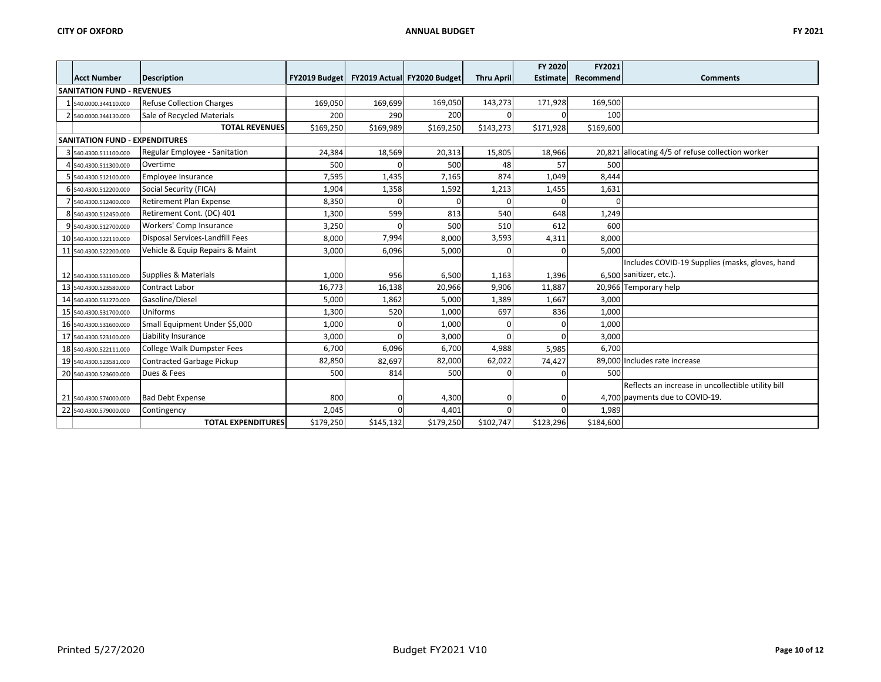|                                       |                                  |               |           |                             |                   | FY 2020         | FY2021    |                                                    |
|---------------------------------------|----------------------------------|---------------|-----------|-----------------------------|-------------------|-----------------|-----------|----------------------------------------------------|
| <b>Acct Number</b>                    | <b>Description</b>               | FY2019 Budget |           | FY2019 Actual FY2020 Budget | <b>Thru April</b> | <b>Estimate</b> | Recommend | <b>Comments</b>                                    |
| <b>SANITATION FUND - REVENUES</b>     |                                  |               |           |                             |                   |                 |           |                                                    |
| 1 540.0000.344110.000                 | <b>Refuse Collection Charges</b> | 169,050       | 169,699   | 169,050                     | 143,273           | 171,928         | 169,500   |                                                    |
| 2 540.0000.344130.000                 | Sale of Recycled Materials       | 200           | 290       | 200                         | $\Omega$          |                 | 100       |                                                    |
|                                       | <b>TOTAL REVENUES</b>            | \$169,250     | \$169,989 | \$169,250                   | \$143,273         | \$171,928       | \$169,600 |                                                    |
| <b>SANITATION FUND - EXPENDITURES</b> |                                  |               |           |                             |                   |                 |           |                                                    |
| 3 540.4300.511100.000                 | Regular Employee - Sanitation    | 24,384        | 18,569    | 20,313                      | 15,805            | 18,966          |           | 20,821 allocating 4/5 of refuse collection worker  |
| 4 540.4300.511300.000                 | Overtime                         | 500           |           | 500                         | 48                | 57              | 500       |                                                    |
| 5 540.4300.512100.000                 | Employee Insurance               | 7,595         | 1,435     | 7,165                       | 874               | 1,049           | 8,444     |                                                    |
| 6 540.4300.512200.000                 | Social Security (FICA)           | 1,904         | 1,358     | 1,592                       | 1,213             | 1,455           | 1,631     |                                                    |
| 7 540.4300.512400.000                 | Retirement Plan Expense          | 8,350         | $\Omega$  | $\Omega$                    | 0                 |                 | $\Omega$  |                                                    |
| 8 540.4300.512450.000                 | Retirement Cont. (DC) 401        | 1,300         | 599       | 813                         | 540               | 648             | 1,249     |                                                    |
| 9 540.4300.512700.000                 | Workers' Comp Insurance          | 3,250         | $\Omega$  | 500                         | 510               | 612             | 600       |                                                    |
| 10 540.4300.522110.000                | Disposal Services-Landfill Fees  | 8,000         | 7,994     | 8,000                       | 3,593             | 4,311           | 8,000     |                                                    |
| 11 540.4300.522200.000                | Vehicle & Equip Repairs & Maint  | 3,000         | 6,096     | 5,000                       | 0                 |                 | 5,000     |                                                    |
|                                       |                                  |               |           |                             |                   |                 |           | Includes COVID-19 Supplies (masks, gloves, hand    |
| 12 540.4300.531100.000                | Supplies & Materials             | 1,000         | 956       | 6,500                       | 1,163             | 1,396           |           | 6.500 sanitizer, etc.).                            |
| 13 540.4300.523580.000                | Contract Labor                   | 16,773        | 16,138    | 20,966                      | 9,906             | 11,887          |           | 20,966 Temporary help                              |
| 14 540.4300.531270.000                | Gasoline/Diesel                  | 5,000         | 1,862     | 5,000                       | 1,389             | 1,667           | 3,000     |                                                    |
| 15 540.4300.531700.000                | Uniforms                         | 1,300         | 520       | 1,000                       | 697               | 836             | 1,000     |                                                    |
| 16 540.4300.531600.000                | Small Equipment Under \$5,000    | 1,000         | $\Omega$  | 1,000                       | $\Omega$          |                 | 1,000     |                                                    |
| 17 540.4300.523100.000                | Liability Insurance              | 3,000         | $\Omega$  | 3,000                       | $\Omega$          |                 | 3,000     |                                                    |
| 18 540.4300.522111.000                | College Walk Dumpster Fees       | 6,700         | 6,096     | 6,700                       | 4,988             | 5,985           | 6.700     |                                                    |
| 19 540.4300.523581.000                | <b>Contracted Garbage Pickup</b> | 82,850        | 82,697    | 82,000                      | 62,022            | 74,427          |           | 89,000 Includes rate increase                      |
| 20 540.4300.523600.000                | Dues & Fees                      | 500           | 814       | 500                         | $\Omega$          |                 | 500       |                                                    |
|                                       |                                  |               |           |                             |                   |                 |           | Reflects an increase in uncollectible utility bill |
| 21 540.4300.574000.000                | <b>Bad Debt Expense</b>          | 800           |           | 4,300                       | $\overline{0}$    |                 |           | 4,700 payments due to COVID-19.                    |
| 22 540.4300.579000.000                | Contingency                      | 2,045         |           | 4,401                       | $\Omega$          |                 | 1,989     |                                                    |
|                                       | <b>TOTAL EXPENDITURES</b>        | \$179,250     | \$145,132 | \$179,250                   | \$102,747         | \$123,296       | \$184,600 |                                                    |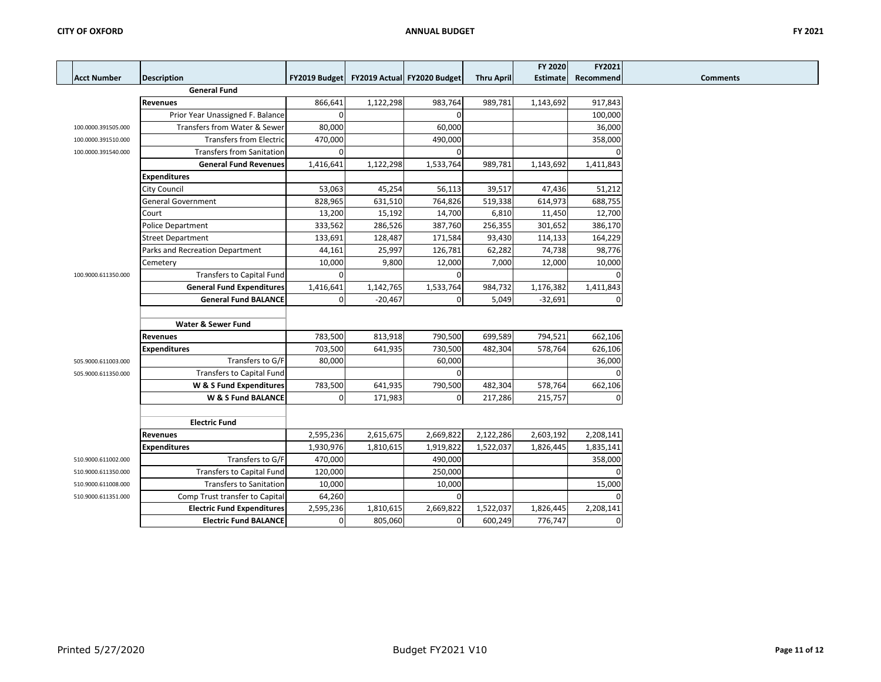Г  $\overline{\phantom{a}}$ 

|                     |                                   |               |           |                             |                   | <b>FY 2020</b>  | FY2021    |
|---------------------|-----------------------------------|---------------|-----------|-----------------------------|-------------------|-----------------|-----------|
| <b>Acct Number</b>  | Description                       | FY2019 Budget |           | FY2019 Actual FY2020 Budget | <b>Thru April</b> | <b>Estimate</b> | Recommend |
|                     | <b>General Fund</b>               |               |           |                             |                   |                 |           |
|                     | <b>Revenues</b>                   | 866,641       | 1,122,298 | 983,764                     | 989,781           | 1,143,692       | 917,843   |
|                     | Prior Year Unassigned F. Balance  | $\Omega$      |           | $\Omega$                    |                   |                 | 100,000   |
| 100.0000.391505.000 | Transfers from Water & Sewer      | 80,000        |           | 60,000                      |                   |                 | 36,000    |
| 100.0000.391510.000 | <b>Transfers from Electric</b>    | 470,000       |           | 490,000                     |                   |                 | 358,000   |
| 100.0000.391540.000 | <b>Transfers from Sanitation</b>  | $\Omega$      |           | $\Omega$                    |                   |                 |           |
|                     | <b>General Fund Revenues</b>      | 1,416,641     | 1,122,298 | 1,533,764                   | 989,781           | 1,143,692       | 1,411,843 |
|                     | <b>Expenditures</b>               |               |           |                             |                   |                 |           |
|                     | City Council                      | 53,063        | 45,254    | 56,113                      | 39,517            | 47,436          | 51,212    |
|                     | <b>General Government</b>         | 828,965       | 631,510   | 764,826                     | 519,338           | 614,973         | 688,755   |
|                     | Court                             | 13,200        | 15,192    | 14,700                      | 6,810             | 11,450          | 12,700    |
|                     | Police Department                 | 333,562       | 286,526   | 387,760                     | 256,355           | 301,652         | 386,170   |
|                     | <b>Street Department</b>          | 133,691       | 128,487   | 171,584                     | 93,430            | 114,133         | 164,229   |
|                     | Parks and Recreation Department   | 44,161        | 25,997    | 126,781                     | 62,282            | 74,738          | 98,776    |
|                     | Cemetery                          | 10,000        | 9,800     | 12,000                      | 7,000             | 12,000          | 10,000    |
| 100.9000.611350.000 | <b>Transfers to Capital Fund</b>  | $\Omega$      |           | $\Omega$                    |                   |                 |           |
|                     | <b>General Fund Expenditures</b>  | 1,416,641     | 1,142,765 | 1,533,764                   | 984,732           | 1,176,382       | 1,411,843 |
|                     | <b>General Fund BALANCE</b>       | $\mathbf 0$   | $-20,467$ | $\mathbf 0$                 | 5,049             | $-32,691$       | O         |
|                     |                                   |               |           |                             |                   |                 |           |
|                     | Water & Sewer Fund                |               |           |                             |                   |                 |           |
|                     | <b>Revenues</b>                   | 783,500       | 813,918   | 790,500                     | 699,589           | 794,521         | 662,106   |
|                     | Expenditures                      | 703,500       | 641,935   | 730,500                     | 482,304           | 578,764         | 626,106   |
| 505.9000.611003.000 | Transfers to G/F                  | 80,000        |           | 60,000                      |                   |                 | 36,000    |
| 505.9000.611350.000 | <b>Transfers to Capital Fund</b>  |               |           | $\mathbf 0$                 |                   |                 | ŋ         |
|                     | W & S Fund Expenditures           | 783,500       | 641,935   | 790,500                     | 482,304           | 578,764         | 662,106   |
|                     | W & S Fund BALANCE                | $\mathbf 0$   | 171,983   | $\mathbf 0$                 | 217,286           | 215,757         | $\Omega$  |
|                     |                                   |               |           |                             |                   |                 |           |
|                     | <b>Electric Fund</b>              |               |           |                             |                   |                 |           |
|                     | <b>Revenues</b>                   | 2,595,236     | 2,615,675 | 2,669,822                   | 2,122,286         | 2,603,192       | 2,208,141 |
|                     | <b>Expenditures</b>               | 1,930,976     | 1,810,615 | 1,919,822                   | 1,522,037         | 1,826,445       | 1,835,141 |
| 510.9000.611002.000 | Transfers to G/F                  | 470,000       |           | 490,000                     |                   |                 | 358,000   |
| 510.9000.611350.000 | <b>Transfers to Capital Fund</b>  | 120,000       |           | 250,000                     |                   |                 | O         |
| 510.9000.611008.000 | <b>Transfers to Sanitation</b>    | 10,000        |           | 10,000                      |                   |                 | 15,000    |
| 510.9000.611351.000 | Comp Trust transfer to Capital    | 64,260        |           | $\Omega$                    |                   |                 | n         |
|                     | <b>Electric Fund Expenditures</b> | 2,595,236     | 1,810,615 | 2,669,822                   | 1,522,037         | 1,826,445       | 2,208,141 |
|                     | <b>Electric Fund BALANCE</b>      | $\mathbf 0$   | 805,060   | $\mathbf 0$                 | 600,249           | 776,747         | 0         |